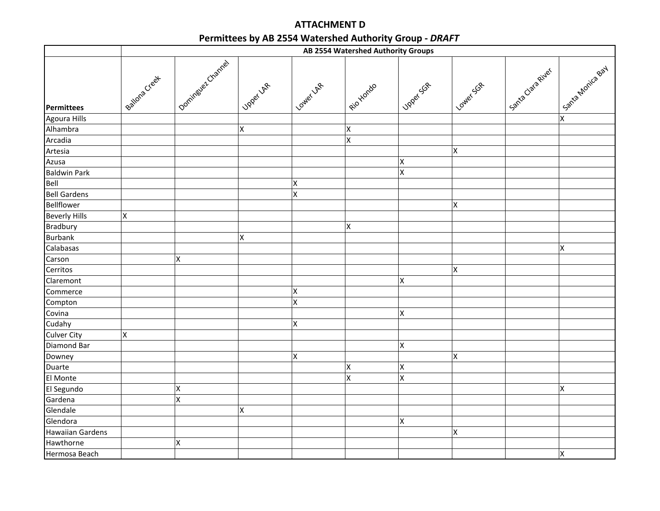## ATTACHMENT DPermittees by AB 2554 Watershed Authority Group - DRAFT

|                         | AB 2554 Watershed Authority Groups |                    |           |                    |                    |                         |                    |                 |                    |
|-------------------------|------------------------------------|--------------------|-----------|--------------------|--------------------|-------------------------|--------------------|-----------------|--------------------|
| Permittees              | Bailons Creet                      | Oomingued Channel  | Joset Lap | Lower LAR          | I gioxionalo       | Joger Science           | I LowerSch         | Sanza Caraziver | Santa Montca Bay   |
| Agoura Hills            |                                    |                    |           |                    |                    |                         |                    |                 | $\mathsf X$        |
| Alhambra                |                                    |                    | X         |                    | X                  |                         |                    |                 |                    |
| Arcadia                 |                                    |                    |           |                    | $\mathsf X$        |                         |                    |                 |                    |
| Artesia                 |                                    |                    |           |                    |                    |                         | $\mathsf X$        |                 |                    |
| Azusa                   |                                    |                    |           |                    |                    | $\pmb{\mathsf{X}}$      |                    |                 |                    |
| <b>Baldwin Park</b>     |                                    |                    |           |                    |                    | X                       |                    |                 |                    |
| Bell                    |                                    |                    |           | X                  |                    |                         |                    |                 |                    |
| <b>Bell Gardens</b>     |                                    |                    |           | $\pmb{\mathsf{X}}$ |                    |                         |                    |                 |                    |
| Bellflower              |                                    |                    |           |                    |                    |                         | $\pmb{\mathsf{X}}$ |                 |                    |
| <b>Beverly Hills</b>    | $\pmb{\mathsf{X}}$                 |                    |           |                    |                    |                         |                    |                 |                    |
| <b>Bradbury</b>         |                                    |                    |           |                    | $\pmb{\mathsf{X}}$ |                         |                    |                 |                    |
| <b>Burbank</b>          |                                    |                    | X         |                    |                    |                         |                    |                 |                    |
| Calabasas               |                                    |                    |           |                    |                    |                         |                    |                 | $\mathsf X$        |
| Carson                  |                                    | $\pmb{\mathsf{X}}$ |           |                    |                    |                         |                    |                 |                    |
| Cerritos                |                                    |                    |           |                    |                    |                         | $\pmb{\mathsf{X}}$ |                 |                    |
| Claremont               |                                    |                    |           |                    |                    | X                       |                    |                 |                    |
| Commerce                |                                    |                    |           | X                  |                    |                         |                    |                 |                    |
| Compton                 |                                    |                    |           | $\pmb{\mathsf{X}}$ |                    |                         |                    |                 |                    |
| Covina                  |                                    |                    |           |                    |                    | X                       |                    |                 |                    |
| Cudahy                  |                                    |                    |           | $\pmb{\mathsf{X}}$ |                    |                         |                    |                 |                    |
| <b>Culver City</b>      | $\pmb{\mathsf{X}}$                 |                    |           |                    |                    |                         |                    |                 |                    |
| Diamond Bar             |                                    |                    |           |                    |                    | X                       |                    |                 |                    |
| Downey                  |                                    |                    |           | X                  |                    |                         | $\mathsf X$        |                 |                    |
| Duarte                  |                                    |                    |           |                    | X                  | X                       |                    |                 |                    |
| El Monte                |                                    |                    |           |                    | X                  | $\mathsf{\overline{X}}$ |                    |                 |                    |
| El Segundo              |                                    | X                  |           |                    |                    |                         |                    |                 | $\pmb{\mathsf{X}}$ |
| Gardena                 |                                    | X                  |           |                    |                    |                         |                    |                 |                    |
| Glendale                |                                    |                    | Χ         |                    |                    |                         |                    |                 |                    |
| Glendora                |                                    |                    |           |                    |                    | X                       |                    |                 |                    |
| <b>Hawaiian Gardens</b> |                                    |                    |           |                    |                    |                         | $\pmb{\mathsf{X}}$ |                 |                    |
| Hawthorne               |                                    | $\pmb{\mathsf{X}}$ |           |                    |                    |                         |                    |                 |                    |
| Hermosa Beach           |                                    |                    |           |                    |                    |                         |                    |                 | X                  |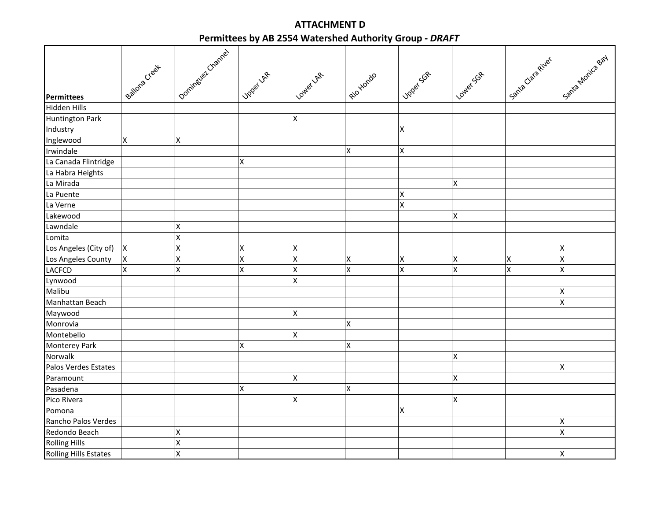## ATTACHMENT DPermittees by AB 2554 Watershed Authority Group - DRAFT

|                              | Bailona Creet      | Oominguer Crannel  | Joset La           | Lower La                | I gio ylondo              | 1 Japac Sch | LowerSak | Santa Claragiver | Sanza Monica Bay   |
|------------------------------|--------------------|--------------------|--------------------|-------------------------|---------------------------|-------------|----------|------------------|--------------------|
| Permittees                   |                    |                    |                    |                         |                           |             |          |                  |                    |
| Hidden Hills                 |                    |                    |                    |                         |                           |             |          |                  |                    |
| <b>Huntington Park</b>       |                    |                    |                    | Χ                       |                           |             |          |                  |                    |
| Industry                     |                    |                    |                    |                         |                           | Χ           |          |                  |                    |
| Inglewood                    | $\pmb{\mathsf{X}}$ | $\pmb{\mathsf{X}}$ |                    |                         |                           |             |          |                  |                    |
| Irwindale                    |                    |                    |                    |                         | $\boldsymbol{\mathsf{X}}$ | Χ           |          |                  |                    |
| La Canada Flintridge         |                    |                    | Χ                  |                         |                           |             |          |                  |                    |
| La Habra Heights             |                    |                    |                    |                         |                           |             |          |                  |                    |
| La Mirada                    |                    |                    |                    |                         |                           |             | Χ        |                  |                    |
| La Puente                    |                    |                    |                    |                         |                           | Χ           |          |                  |                    |
| La Verne                     |                    |                    |                    |                         |                           | X           |          |                  |                    |
| Lakewood                     |                    |                    |                    |                         |                           |             | Χ        |                  |                    |
| Lawndale                     |                    | X                  |                    |                         |                           |             |          |                  |                    |
| Lomita                       |                    | X                  |                    |                         |                           |             |          |                  |                    |
| Los Angeles (City of)        | $\pmb{\times}$     | X                  | X                  | X                       |                           |             |          |                  | X                  |
| Los Angeles County           | X                  | X                  | X                  | X                       | $\pmb{\mathsf{X}}$        | X           | X        | X                | X                  |
| <b>LACFCD</b>                | $\pmb{\mathsf{X}}$ | X                  | $\mathsf{X}% _{0}$ | $\overline{\mathsf{x}}$ | $\overline{\mathsf{x}}$   | X           | X        | X                | X                  |
| Lynwood                      |                    |                    |                    | X                       |                           |             |          |                  |                    |
| Malibu                       |                    |                    |                    |                         |                           |             |          |                  | $\pmb{\mathsf{X}}$ |
| Manhattan Beach              |                    |                    |                    |                         |                           |             |          |                  | $\mathsf{x}$       |
| Maywood                      |                    |                    |                    | Χ                       |                           |             |          |                  |                    |
| Monrovia                     |                    |                    |                    |                         | X                         |             |          |                  |                    |
| Montebello                   |                    |                    |                    | Χ                       |                           |             |          |                  |                    |
| <b>Monterey Park</b>         |                    |                    | Χ                  |                         | X                         |             |          |                  |                    |
| Norwalk                      |                    |                    |                    |                         |                           |             | Χ        |                  |                    |
| Palos Verdes Estates         |                    |                    |                    |                         |                           |             |          |                  | $\pmb{\times}$     |
| Paramount                    |                    |                    |                    | Χ                       |                           |             | Χ        |                  |                    |
| Pasadena                     |                    |                    | Χ                  |                         | X                         |             |          |                  |                    |
| Pico Rivera                  |                    |                    |                    | Χ                       |                           |             | Χ        |                  |                    |
| Pomona                       |                    |                    |                    |                         |                           | Χ           |          |                  |                    |
| Rancho Palos Verdes          |                    |                    |                    |                         |                           |             |          |                  | X                  |
| Redondo Beach                |                    | Χ                  |                    |                         |                           |             |          |                  | X                  |
| <b>Rolling Hills</b>         |                    | X                  |                    |                         |                           |             |          |                  |                    |
| <b>Rolling Hills Estates</b> |                    | X                  |                    |                         |                           |             |          |                  | X                  |